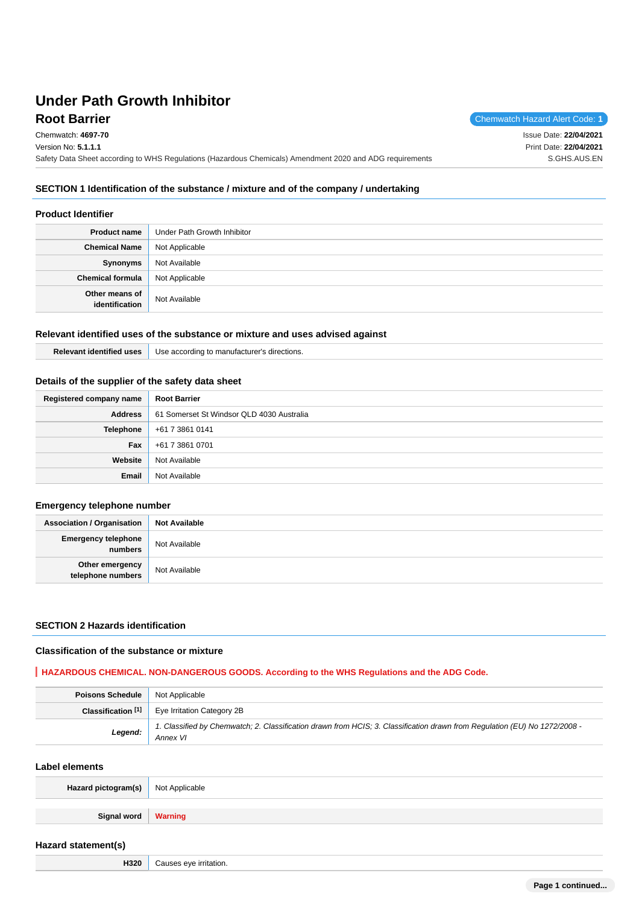**Root Barrier** Chemwatch Hazard Alert Code: 1 Chemwatch: **4697-70** Version No: **5.1.1.1** Safety Data Sheet according to WHS Regulations (Hazardous Chemicals) Amendment 2020 and ADG requirements Issue Date: **22/04/2021** Print Date: **22/04/2021** S.GHS.AUS.EN

# **SECTION 1 Identification of the substance / mixture and of the company / undertaking**

# **Product Identifier**

| <b>Product name</b>              | Under Path Growth Inhibitor |
|----------------------------------|-----------------------------|
| <b>Chemical Name</b>             | Not Applicable              |
| Synonyms                         | Not Available               |
| <b>Chemical formula</b>          | Not Applicable              |
| Other means of<br>identification | Not Available               |

#### **Relevant identified uses of the substance or mixture and uses advised against**

| .                 | ≅ directions.     |
|-------------------|-------------------|
| R۵                | . according       |
| <b>uses</b>       | JSP.              |
| <b>Haentified</b> | u to manufacturer |

# **Details of the supplier of the safety data sheet**

| Registered company name | <b>Root Barrier</b>                       |
|-------------------------|-------------------------------------------|
| <b>Address</b>          | 61 Somerset St Windsor QLD 4030 Australia |
|                         | <b>Telephone</b> +61 7 3861 0141          |
| Fax                     | +61 7 3861 0701                           |
| Website                 | Not Available                             |
| Email                   | Not Available                             |

### **Emergency telephone number**

| <b>Association / Organisation</b>       | <b>Not Available</b> |
|-----------------------------------------|----------------------|
| <b>Emergency telephone</b><br>  numbers | Not Available        |
| Other emergency<br>telephone numbers    | Not Available        |

### **SECTION 2 Hazards identification**

#### **Classification of the substance or mixture**

#### **HAZARDOUS CHEMICAL. NON-DANGEROUS GOODS. According to the WHS Regulations and the ADG Code.**

| <b>Poisons Schedule</b> Not Applicable |                                                                                                                                        |  |
|----------------------------------------|----------------------------------------------------------------------------------------------------------------------------------------|--|
|                                        | Classification [1]   Eye Irritation Category 2B                                                                                        |  |
| Legend:                                | 1. Classified by Chemwatch; 2. Classification drawn from HCIS; 3. Classification drawn from Regulation (EU) No 1272/2008 -<br>Annex VI |  |

#### **Label elements**

| Hazard pictogram(s) Not Applicable |  |
|------------------------------------|--|
| Signal word   Warning              |  |

#### **Hazard statement(s)**

**H320** Causes eye irritation.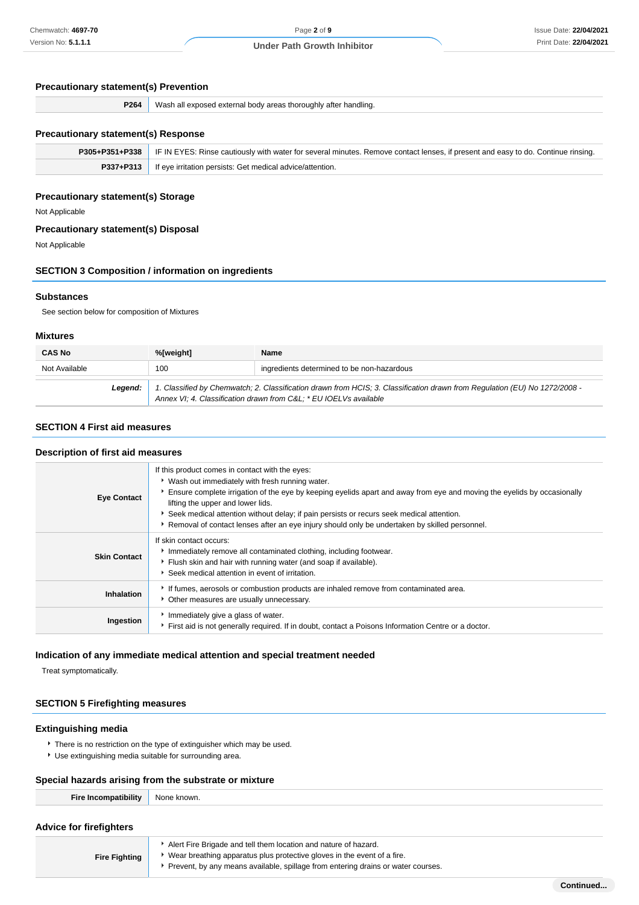# **Precautionary statement(s) Prevention**

| P264 | Wast.<br>`handlino.<br>5525<br>nytorne <sup>.</sup><br>exnosed<br>יי<br><b>TROFOUGL</b><br>апе<br>areas<br>nnav<br>exie<br>- |
|------|------------------------------------------------------------------------------------------------------------------------------|
|      |                                                                                                                              |

# **Precautionary statement(s) Response**

| <b>P305+P351+P338</b>   IF IN EYES: Rinse cautiously with water for several minutes. Remove contact lenses, if present and easy to do. Continue rinsing. |
|----------------------------------------------------------------------------------------------------------------------------------------------------------|
| P337+P313   If eye irritation persists: Get medical advice/attention.                                                                                    |
|                                                                                                                                                          |

# **Precautionary statement(s) Storage**

Not Applicable

#### **Precautionary statement(s) Disposal**

Not Applicable

#### **SECTION 3 Composition / information on ingredients**

#### **Substances**

See section below for composition of Mixtures

#### **Mixtures**

| <b>CAS No</b> | %[weight] | <b>Name</b>                                                                                                                                                                                    |
|---------------|-----------|------------------------------------------------------------------------------------------------------------------------------------------------------------------------------------------------|
| Not Available | 100       | ingredients determined to be non-hazardous                                                                                                                                                     |
| Leaend:       |           | 1. Classified by Chemwatch; 2. Classification drawn from HCIS; 3. Classification drawn from Regulation (EU) No 1272/2008 -<br>Annex VI; 4. Classification drawn from C&L * EU IOELVs available |

### **SECTION 4 First aid measures**

#### **Description of first aid measures**

| <b>Eye Contact</b>  | If this product comes in contact with the eyes:<br>• Wash out immediately with fresh running water.<br>Ensure complete irrigation of the eye by keeping eyelids apart and away from eye and moving the eyelids by occasionally<br>lifting the upper and lower lids.<br>Seek medical attention without delay; if pain persists or recurs seek medical attention.<br>Removal of contact lenses after an eye injury should only be undertaken by skilled personnel. |
|---------------------|------------------------------------------------------------------------------------------------------------------------------------------------------------------------------------------------------------------------------------------------------------------------------------------------------------------------------------------------------------------------------------------------------------------------------------------------------------------|
| <b>Skin Contact</b> | If skin contact occurs:<br>Immediately remove all contaminated clothing, including footwear.<br>Flush skin and hair with running water (and soap if available).<br>Seek medical attention in event of irritation.                                                                                                                                                                                                                                                |
| Inhalation          | If fumes, aerosols or combustion products are inhaled remove from contaminated area.<br>• Other measures are usually unnecessary.                                                                                                                                                                                                                                                                                                                                |
| Ingestion           | Immediately give a glass of water.<br>First aid is not generally required. If in doubt, contact a Poisons Information Centre or a doctor.                                                                                                                                                                                                                                                                                                                        |

#### **Indication of any immediate medical attention and special treatment needed**

Treat symptomatically.

### **SECTION 5 Firefighting measures**

#### **Extinguishing media**

- There is no restriction on the type of extinguisher which may be used.
- Use extinguishing media suitable for surrounding area.

# **Special hazards arising from the substrate or mixture**

# **Advice for firefighters**

| <b>Fire Fighting</b> | Alert Fire Brigade and tell them location and nature of hazard.<br>• Wear breathing apparatus plus protective gloves in the event of a fire. |
|----------------------|----------------------------------------------------------------------------------------------------------------------------------------------|
|                      | Prevent, by any means available, spillage from entering drains or water courses.                                                             |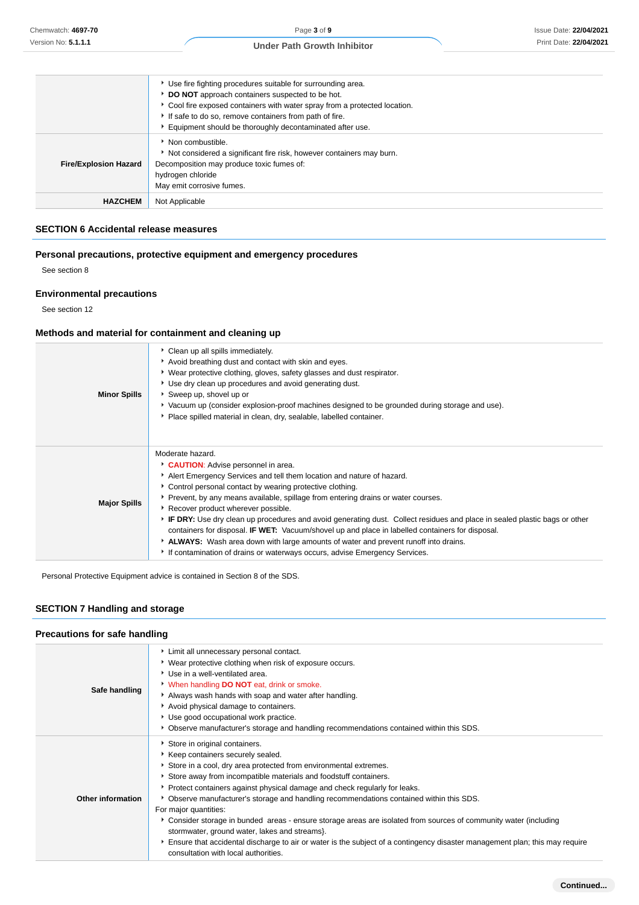| ▶ Use fire fighting procedures suitable for surrounding area. |                                                                          |  |
|---------------------------------------------------------------|--------------------------------------------------------------------------|--|
|                                                               | DO NOT approach containers suspected to be hot.                          |  |
|                                                               | Cool fire exposed containers with water spray from a protected location. |  |
|                                                               | If safe to do so, remove containers from path of fire.                   |  |
|                                                               | Equipment should be thoroughly decontaminated after use.                 |  |
|                                                               | Non combustible.                                                         |  |
|                                                               | Not considered a significant fire risk, however containers may burn.     |  |
| <b>Fire/Explosion Hazard</b>                                  | Decomposition may produce toxic fumes of:                                |  |
|                                                               | hydrogen chloride                                                        |  |
|                                                               | May emit corrosive fumes.                                                |  |
| <b>HAZCHEM</b>                                                | Not Applicable                                                           |  |

#### **SECTION 6 Accidental release measures**

# **Personal precautions, protective equipment and emergency procedures**

See section 8

### **Environmental precautions**

See section 12

### **Methods and material for containment and cleaning up**

| <b>Minor Spills</b> | Clean up all spills immediately.<br>Avoid breathing dust and contact with skin and eyes.<br>▶ Wear protective clothing, gloves, safety glasses and dust respirator.<br>Use dry clean up procedures and avoid generating dust.<br>Sweep up, shovel up or<br>▶ Vacuum up (consider explosion-proof machines designed to be grounded during storage and use).<br>Place spilled material in clean, dry, sealable, labelled container.                                                                                                                                                                                                                                                                                                       |
|---------------------|-----------------------------------------------------------------------------------------------------------------------------------------------------------------------------------------------------------------------------------------------------------------------------------------------------------------------------------------------------------------------------------------------------------------------------------------------------------------------------------------------------------------------------------------------------------------------------------------------------------------------------------------------------------------------------------------------------------------------------------------|
| <b>Major Spills</b> | Moderate hazard.<br>CAUTION: Advise personnel in area.<br>Alert Emergency Services and tell them location and nature of hazard.<br>Control personal contact by wearing protective clothing.<br>• Prevent, by any means available, spillage from entering drains or water courses.<br>▶ Recover product wherever possible.<br>F IF DRY: Use dry clean up procedures and avoid generating dust. Collect residues and place in sealed plastic bags or other<br>containers for disposal. <b>IF WET:</b> Vacuum/shovel up and place in labelled containers for disposal.<br>ALWAYS: Wash area down with large amounts of water and prevent runoff into drains.<br>If contamination of drains or waterways occurs, advise Emergency Services. |

Personal Protective Equipment advice is contained in Section 8 of the SDS.

# **SECTION 7 Handling and storage**

# **Precautions for safe handling**

| Safe handling     | Limit all unnecessary personal contact.<br>• Wear protective clothing when risk of exposure occurs.<br>Use in a well-ventilated area.<br>When handling DO NOT eat, drink or smoke.<br>Always wash hands with soap and water after handling.<br>Avoid physical damage to containers.<br>▶ Use good occupational work practice.<br>Observe manufacturer's storage and handling recommendations contained within this SDS.                                                                                                                                                                                                                                                                                                                                  |
|-------------------|----------------------------------------------------------------------------------------------------------------------------------------------------------------------------------------------------------------------------------------------------------------------------------------------------------------------------------------------------------------------------------------------------------------------------------------------------------------------------------------------------------------------------------------------------------------------------------------------------------------------------------------------------------------------------------------------------------------------------------------------------------|
| Other information | Store in original containers.<br>▶ Keep containers securely sealed.<br>Store in a cool, dry area protected from environmental extremes.<br>Store away from incompatible materials and foodstuff containers.<br>Protect containers against physical damage and check regularly for leaks.<br>Observe manufacturer's storage and handling recommendations contained within this SDS.<br>For major quantities:<br>▶ Consider storage in bunded areas - ensure storage areas are isolated from sources of community water (including<br>stormwater, ground water, lakes and streams}.<br>Ensure that accidental discharge to air or water is the subject of a contingency disaster management plan; this may require<br>consultation with local authorities. |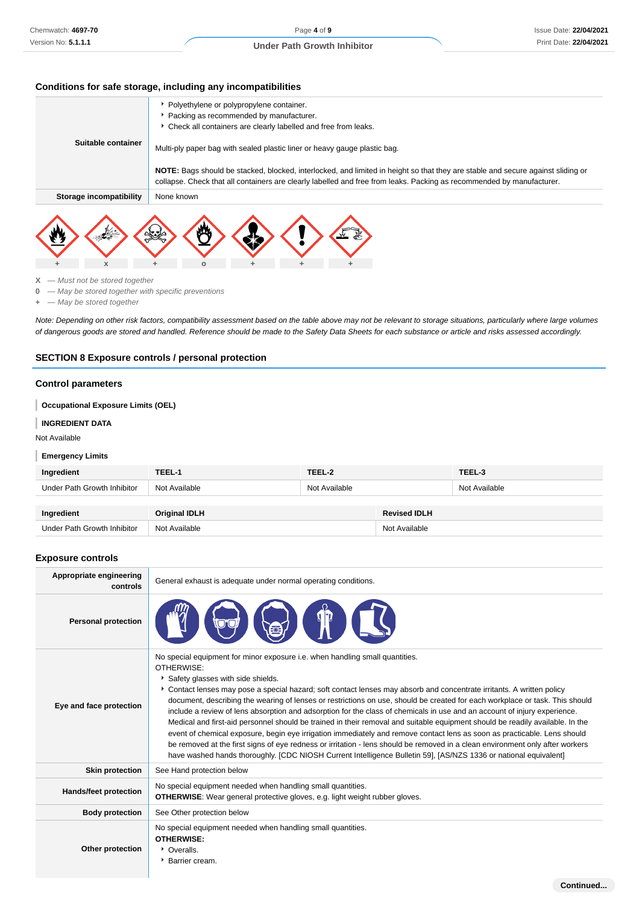#### **Conditions for safe storage, including any incompatibilities**

|                         | Polyethylene or polypropylene container.                                                                                                                                                                                                                 |
|-------------------------|----------------------------------------------------------------------------------------------------------------------------------------------------------------------------------------------------------------------------------------------------------|
|                         | Packing as recommended by manufacturer.                                                                                                                                                                                                                  |
|                         | • Check all containers are clearly labelled and free from leaks.                                                                                                                                                                                         |
| Suitable container      | Multi-ply paper bag with sealed plastic liner or heavy gauge plastic bag.                                                                                                                                                                                |
|                         | NOTE: Bags should be stacked, blocked, interlocked, and limited in height so that they are stable and secure against sliding or<br>collapse. Check that all containers are clearly labelled and free from leaks. Packing as recommended by manufacturer. |
| Storage incompatibility | None known                                                                                                                                                                                                                                               |
|                         |                                                                                                                                                                                                                                                          |



Under Path Growth Inhibitor Not Available Not Available Not Available Not Available

**X** — Must not be stored together

- **0** May be stored together with specific preventions
- **+** May be stored together

Note: Depending on other risk factors, compatibility assessment based on the table above may not be relevant to storage situations, particularly where large volumes of dangerous goods are stored and handled. Reference should be made to the Safety Data Sheets for each substance or article and risks assessed accordingly.

### **SECTION 8 Exposure controls / personal protection**

#### **Control parameters**

### **Occupational Exposure Limits (OEL)**

#### **INGREDIENT DATA**

Not Available

#### I **Emergency Limits**

| Ingredient                  | TEEL-1               | TEEL-2        |                     | TEEL-3        |
|-----------------------------|----------------------|---------------|---------------------|---------------|
| Under Path Growth Inhibitor | Not Available        | Not Available |                     | Not Available |
|                             |                      |               |                     |               |
| Ingredient                  | <b>Original IDLH</b> |               | <b>Revised IDLH</b> |               |

#### **Exposure controls**

| Appropriate engineering<br>controls | General exhaust is adequate under normal operating conditions.                                                                                                                                                                                                                                                                                                                                                                                                                                                                                                                                                                                                                                                                                                                                                                                                                                                                                                                                                                         |
|-------------------------------------|----------------------------------------------------------------------------------------------------------------------------------------------------------------------------------------------------------------------------------------------------------------------------------------------------------------------------------------------------------------------------------------------------------------------------------------------------------------------------------------------------------------------------------------------------------------------------------------------------------------------------------------------------------------------------------------------------------------------------------------------------------------------------------------------------------------------------------------------------------------------------------------------------------------------------------------------------------------------------------------------------------------------------------------|
| <b>Personal protection</b>          |                                                                                                                                                                                                                                                                                                                                                                                                                                                                                                                                                                                                                                                                                                                                                                                                                                                                                                                                                                                                                                        |
| Eye and face protection             | No special equipment for minor exposure i.e. when handling small quantities.<br>OTHERWISE:<br>Safety glasses with side shields.<br>Contact lenses may pose a special hazard; soft contact lenses may absorb and concentrate irritants. A written policy<br>document, describing the wearing of lenses or restrictions on use, should be created for each workplace or task. This should<br>include a review of lens absorption and adsorption for the class of chemicals in use and an account of injury experience.<br>Medical and first-aid personnel should be trained in their removal and suitable equipment should be readily available. In the<br>event of chemical exposure, begin eye irrigation immediately and remove contact lens as soon as practicable. Lens should<br>be removed at the first signs of eye redness or irritation - lens should be removed in a clean environment only after workers<br>have washed hands thoroughly. [CDC NIOSH Current Intelligence Bulletin 59], [AS/NZS 1336 or national equivalent] |
| <b>Skin protection</b>              | See Hand protection below                                                                                                                                                                                                                                                                                                                                                                                                                                                                                                                                                                                                                                                                                                                                                                                                                                                                                                                                                                                                              |
| <b>Hands/feet protection</b>        | No special equipment needed when handling small quantities.<br><b>OTHERWISE:</b> Wear general protective gloves, e.g. light weight rubber gloves.                                                                                                                                                                                                                                                                                                                                                                                                                                                                                                                                                                                                                                                                                                                                                                                                                                                                                      |
| <b>Body protection</b>              | See Other protection below                                                                                                                                                                                                                                                                                                                                                                                                                                                                                                                                                                                                                                                                                                                                                                                                                                                                                                                                                                                                             |
| Other protection                    | No special equipment needed when handling small quantities.<br><b>OTHERWISE:</b><br>• Overalls.<br>▶ Barrier cream.                                                                                                                                                                                                                                                                                                                                                                                                                                                                                                                                                                                                                                                                                                                                                                                                                                                                                                                    |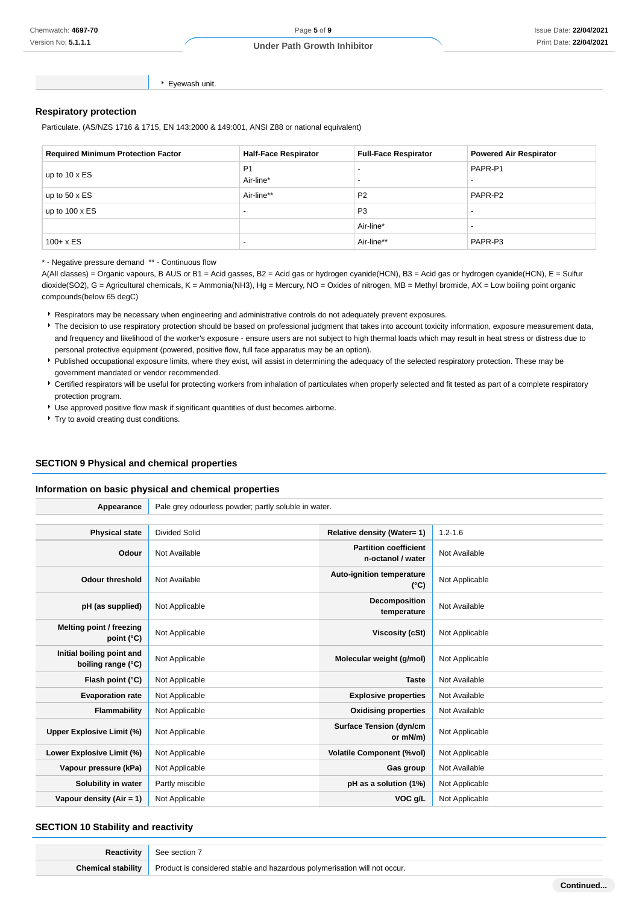**Continued...**

Eyewash unit.

### **Respiratory protection**

Particulate. (AS/NZS 1716 & 1715, EN 143:2000 & 149:001, ANSI Z88 or national equivalent)

| <b>Required Minimum Protection Factor</b> | <b>Half-Face Respirator</b> | <b>Full-Face Respirator</b> | <b>Powered Air Respirator</b>       |
|-------------------------------------------|-----------------------------|-----------------------------|-------------------------------------|
| up to $10 \times ES$                      | P <sub>1</sub><br>Air-line* | $\overline{\phantom{0}}$    | PAPR-P1<br>$\overline{\phantom{0}}$ |
| up to $50 \times ES$                      | Air-line**                  | P <sub>2</sub>              | PAPR-P2                             |
| up to $100 \times ES$                     | $\overline{\phantom{0}}$    | P <sub>3</sub>              |                                     |
|                                           |                             | Air-line*                   |                                     |
| $100 + x ES$                              | $\overline{\phantom{a}}$    | Air-line**                  | PAPR-P3                             |

\* - Negative pressure demand \*\* - Continuous flow

A(All classes) = Organic vapours, B AUS or B1 = Acid gasses, B2 = Acid gas or hydrogen cyanide(HCN), B3 = Acid gas or hydrogen cyanide(HCN), E = Sulfur dioxide(SO2), G = Agricultural chemicals, K = Ammonia(NH3), Hg = Mercury, NO = Oxides of nitrogen, MB = Methyl bromide, AX = Low boiling point organic compounds(below 65 degC)

Respirators may be necessary when engineering and administrative controls do not adequately prevent exposures.

- The decision to use respiratory protection should be based on professional judgment that takes into account toxicity information, exposure measurement data, and frequency and likelihood of the worker's exposure - ensure users are not subject to high thermal loads which may result in heat stress or distress due to personal protective equipment (powered, positive flow, full face apparatus may be an option).
- Published occupational exposure limits, where they exist, will assist in determining the adequacy of the selected respiratory protection. These may be government mandated or vendor recommended.
- Certified respirators will be useful for protecting workers from inhalation of particulates when properly selected and fit tested as part of a complete respiratory protection program.
- Use approved positive flow mask if significant quantities of dust becomes airborne.
- Try to avoid creating dust conditions.

# **SECTION 9 Physical and chemical properties**

#### **Information on basic physical and chemical properties**

| Appearance                                      | Pale grey odourless powder; partly soluble in water. |                                                   |                |  |
|-------------------------------------------------|------------------------------------------------------|---------------------------------------------------|----------------|--|
|                                                 |                                                      |                                                   |                |  |
| <b>Physical state</b>                           | <b>Divided Solid</b>                                 | <b>Relative density (Water= 1)</b>                | $1.2 - 1.6$    |  |
| Odour                                           | Not Available                                        | <b>Partition coefficient</b><br>n-octanol / water | Not Available  |  |
| <b>Odour threshold</b>                          | Not Available                                        | Auto-ignition temperature<br>$(^{\circ}C)$        | Not Applicable |  |
| pH (as supplied)                                | Not Applicable                                       | Decomposition<br>temperature                      | Not Available  |  |
| Melting point / freezing<br>point $(^{\circ}C)$ | Not Applicable                                       | <b>Viscosity (cSt)</b>                            | Not Applicable |  |
| Initial boiling point and<br>boiling range (°C) | Not Applicable                                       | Molecular weight (g/mol)                          | Not Applicable |  |
| Flash point (°C)                                | Not Applicable                                       | <b>Taste</b>                                      | Not Available  |  |
| <b>Evaporation rate</b>                         | Not Applicable                                       | <b>Explosive properties</b>                       | Not Available  |  |
| Flammability                                    | Not Applicable                                       | <b>Oxidising properties</b>                       | Not Available  |  |
| Upper Explosive Limit (%)                       | Not Applicable                                       | <b>Surface Tension (dyn/cm</b><br>or mN/m)        | Not Applicable |  |
| Lower Explosive Limit (%)                       | Not Applicable                                       | <b>Volatile Component (%vol)</b>                  | Not Applicable |  |
| Vapour pressure (kPa)                           | Not Applicable                                       | Gas group                                         | Not Available  |  |
| Solubility in water                             | Partly miscible                                      | pH as a solution (1%)                             | Not Applicable |  |
| Vapour density $(Air = 1)$                      | Not Applicable                                       | VOC g/L                                           | Not Applicable |  |

#### **SECTION 10 Stability and reactivity**

| Reactivity                | section<br>:nr                                                              |
|---------------------------|-----------------------------------------------------------------------------|
| <b>Chemical stability</b> | - Product is considered stable and hazardous polymerisation will not occur. |
|                           |                                                                             |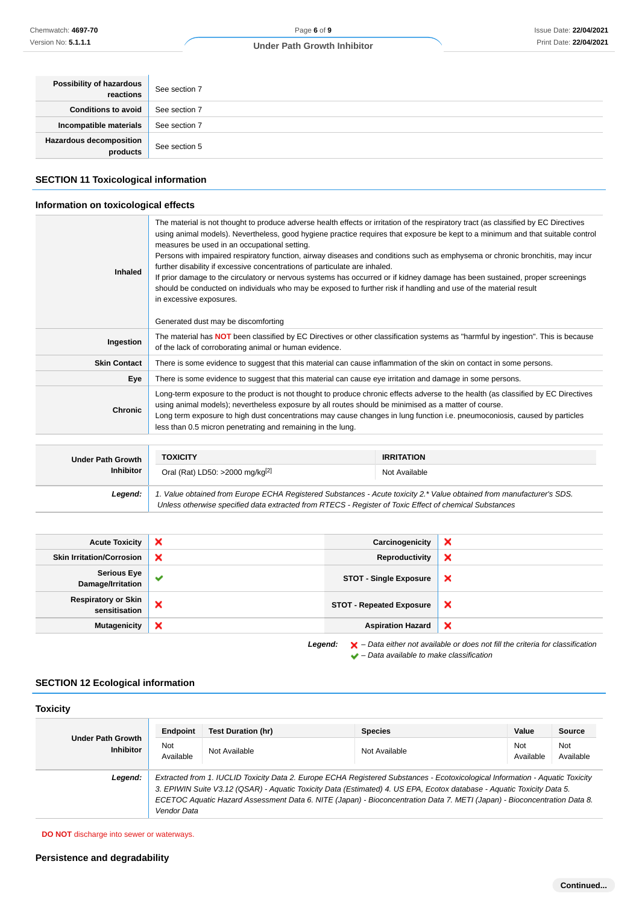| Possibility of hazardous<br>reactions | See section 7 |
|---------------------------------------|---------------|
| <b>Conditions to avoid</b>            | See section 7 |
| Incompatible materials                | See section 7 |
| Hazardous decomposition<br>products   | See section 5 |

### **SECTION 11 Toxicological information**

### **Information on toxicological effects**

| Inhaled                  | The material is not thought to produce adverse health effects or irritation of the respiratory tract (as classified by EC Directives<br>using animal models). Nevertheless, good hygiene practice requires that exposure be kept to a minimum and that suitable control<br>measures be used in an occupational setting.<br>Persons with impaired respiratory function, airway diseases and conditions such as emphysema or chronic bronchitis, may incur<br>further disability if excessive concentrations of particulate are inhaled.<br>If prior damage to the circulatory or nervous systems has occurred or if kidney damage has been sustained, proper screenings<br>should be conducted on individuals who may be exposed to further risk if handling and use of the material result<br>in excessive exposures.<br>Generated dust may be discomforting |                   |  |
|--------------------------|--------------------------------------------------------------------------------------------------------------------------------------------------------------------------------------------------------------------------------------------------------------------------------------------------------------------------------------------------------------------------------------------------------------------------------------------------------------------------------------------------------------------------------------------------------------------------------------------------------------------------------------------------------------------------------------------------------------------------------------------------------------------------------------------------------------------------------------------------------------|-------------------|--|
| Ingestion                | The material has <b>NOT</b> been classified by EC Directives or other classification systems as "harmful by ingestion". This is because<br>of the lack of corroborating animal or human evidence.                                                                                                                                                                                                                                                                                                                                                                                                                                                                                                                                                                                                                                                            |                   |  |
| <b>Skin Contact</b>      | There is some evidence to suggest that this material can cause inflammation of the skin on contact in some persons.                                                                                                                                                                                                                                                                                                                                                                                                                                                                                                                                                                                                                                                                                                                                          |                   |  |
| Eye                      | There is some evidence to suggest that this material can cause eye irritation and damage in some persons.                                                                                                                                                                                                                                                                                                                                                                                                                                                                                                                                                                                                                                                                                                                                                    |                   |  |
| <b>Chronic</b>           | Long-term exposure to the product is not thought to produce chronic effects adverse to the health (as classified by EC Directives<br>using animal models); nevertheless exposure by all routes should be minimised as a matter of course.<br>Long term exposure to high dust concentrations may cause changes in lung function i.e. pneumoconiosis, caused by particles<br>less than 0.5 micron penetrating and remaining in the lung.                                                                                                                                                                                                                                                                                                                                                                                                                       |                   |  |
|                          |                                                                                                                                                                                                                                                                                                                                                                                                                                                                                                                                                                                                                                                                                                                                                                                                                                                              |                   |  |
| <b>Under Path Growth</b> | <b>TOXICITY</b>                                                                                                                                                                                                                                                                                                                                                                                                                                                                                                                                                                                                                                                                                                                                                                                                                                              | <b>IRRITATION</b> |  |
| <b>Inhibitor</b>         | Oral (Rat) LD50: >2000 mg/kg <sup>[2]</sup>                                                                                                                                                                                                                                                                                                                                                                                                                                                                                                                                                                                                                                                                                                                                                                                                                  | Not Available     |  |
|                          |                                                                                                                                                                                                                                                                                                                                                                                                                                                                                                                                                                                                                                                                                                                                                                                                                                                              |                   |  |

**Legend:** 1. Value obtained from Europe ECHA Registered Substances - Acute toxicity 2.\* Value obtained from manufacturer's SDS. Unless otherwise specified data extracted from RTECS - Register of Toxic Effect of chemical Substances

| <b>Acute Toxicity</b>                       | $\boldsymbol{\mathsf{x}}$ | Carcinogenicity                 | ×                                                                                                                                                                                                                                 |
|---------------------------------------------|---------------------------|---------------------------------|-----------------------------------------------------------------------------------------------------------------------------------------------------------------------------------------------------------------------------------|
| <b>Skin Irritation/Corrosion</b>            | $\boldsymbol{\mathsf{x}}$ | Reproductivity                  | ×                                                                                                                                                                                                                                 |
| Serious Eye<br>Damage/Irritation            | $\checkmark$              | <b>STOT - Single Exposure</b>   | ×                                                                                                                                                                                                                                 |
| <b>Respiratory or Skin</b><br>sensitisation | ×                         | <b>STOT - Repeated Exposure</b> | ×                                                                                                                                                                                                                                 |
| <b>Mutagenicity</b>                         | ×                         | <b>Aspiration Hazard</b>        | $\boldsymbol{\mathsf{x}}$                                                                                                                                                                                                         |
|                                             |                           |                                 | $\mathbf{r}$ , and the state of the state of the state of the state of the state of the state of the state of the state of the state of the state of the state of the state of the state of the state of the state of the state o |

Legend:  $\mathsf{X}$  – Data either not available or does not fill the criteria for classification  $\blacktriangleright$  – Data available to make classification

### **SECTION 12 Ecological information**

| <b>Toxicity</b>                              | Endpoint                                                                                                                                                                                                                                                                                                                                                                                           | <b>Test Duration (hr)</b> | <b>Species</b> | Value                   | Source           |
|----------------------------------------------|----------------------------------------------------------------------------------------------------------------------------------------------------------------------------------------------------------------------------------------------------------------------------------------------------------------------------------------------------------------------------------------------------|---------------------------|----------------|-------------------------|------------------|
| <b>Under Path Growth</b><br><b>Inhibitor</b> | Not<br>Available                                                                                                                                                                                                                                                                                                                                                                                   | Not Available             | Not Available  | <b>Not</b><br>Available | Not<br>Available |
| Legend:                                      | Extracted from 1. IUCLID Toxicity Data 2. Europe ECHA Registered Substances - Ecotoxicological Information - Aquatic Toxicity<br>3. EPIWIN Suite V3.12 (QSAR) - Aquatic Toxicity Data (Estimated) 4. US EPA, Ecotox database - Aquatic Toxicity Data 5.<br>ECETOC Aquatic Hazard Assessment Data 6. NITE (Japan) - Bioconcentration Data 7. METI (Japan) - Bioconcentration Data 8.<br>Vendor Data |                           |                |                         |                  |

**DO NOT** discharge into sewer or waterways.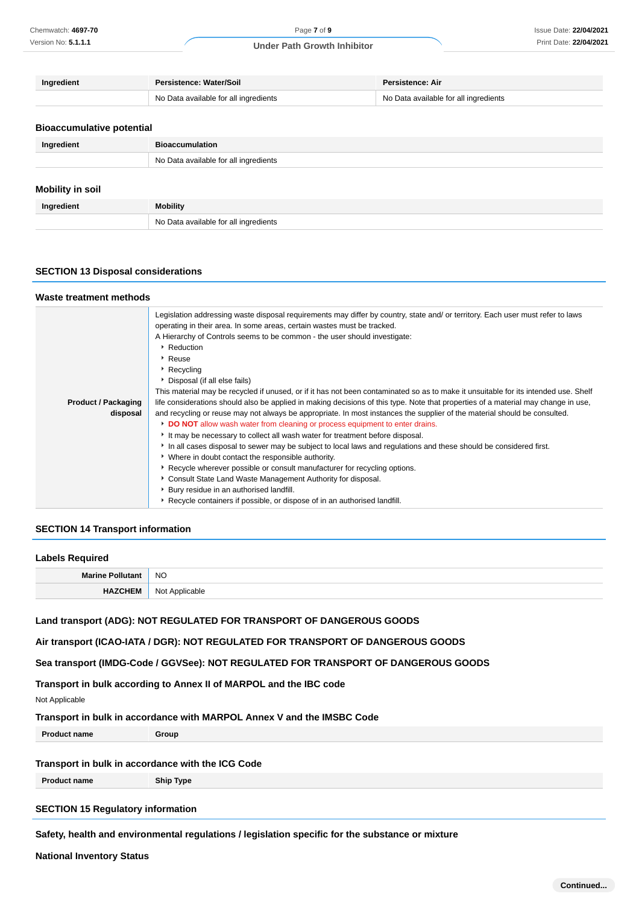| Ingredient | <b>Persistence: Water/Soil</b>        | Persistence: Air                      |
|------------|---------------------------------------|---------------------------------------|
|            | No Data available for all ingredients | No Data available for all ingredients |
|            |                                       |                                       |

# **Bioaccumulative potential**

| Ingredient              | <b>Bioaccumulation</b>                |  |  |
|-------------------------|---------------------------------------|--|--|
|                         | No Data available for all ingredients |  |  |
|                         |                                       |  |  |
| <b>Mobility in soil</b> |                                       |  |  |

| Ingredient | <b>Mobility</b>                            |  |  |
|------------|--------------------------------------------|--|--|
|            | Data available for all ingredients<br>No l |  |  |

#### **SECTION 13 Disposal considerations**

#### **Waste treatment methods**

| <b>Product / Packaging</b><br>disposal | Legislation addressing waste disposal requirements may differ by country, state and/ or territory. Each user must refer to laws<br>operating in their area. In some areas, certain wastes must be tracked.<br>A Hierarchy of Controls seems to be common - the user should investigate:<br>Reduction<br>▸ Reuse<br>▶ Recycling<br>▶ Disposal (if all else fails)<br>This material may be recycled if unused, or if it has not been contaminated so as to make it unsuitable for its intended use. Shelf<br>life considerations should also be applied in making decisions of this type. Note that properties of a material may change in use,<br>and recycling or reuse may not always be appropriate. In most instances the supplier of the material should be consulted.<br>DO NOT allow wash water from cleaning or process equipment to enter drains.<br>It may be necessary to collect all wash water for treatment before disposal.<br>In all cases disposal to sewer may be subject to local laws and regulations and these should be considered first.<br>• Where in doubt contact the responsible authority.<br>▶ Recycle wherever possible or consult manufacturer for recycling options.<br>Consult State Land Waste Management Authority for disposal. |
|----------------------------------------|--------------------------------------------------------------------------------------------------------------------------------------------------------------------------------------------------------------------------------------------------------------------------------------------------------------------------------------------------------------------------------------------------------------------------------------------------------------------------------------------------------------------------------------------------------------------------------------------------------------------------------------------------------------------------------------------------------------------------------------------------------------------------------------------------------------------------------------------------------------------------------------------------------------------------------------------------------------------------------------------------------------------------------------------------------------------------------------------------------------------------------------------------------------------------------------------------------------------------------------------------------------------|
|                                        |                                                                                                                                                                                                                                                                                                                                                                                                                                                                                                                                                                                                                                                                                                                                                                                                                                                                                                                                                                                                                                                                                                                                                                                                                                                                    |
|                                        | Bury residue in an authorised landfill.<br>▶ Recycle containers if possible, or dispose of in an authorised landfill.                                                                                                                                                                                                                                                                                                                                                                                                                                                                                                                                                                                                                                                                                                                                                                                                                                                                                                                                                                                                                                                                                                                                              |
|                                        |                                                                                                                                                                                                                                                                                                                                                                                                                                                                                                                                                                                                                                                                                                                                                                                                                                                                                                                                                                                                                                                                                                                                                                                                                                                                    |

### **SECTION 14 Transport information**

### **Labels Required**

| <b>Marine Polluta</b> | <b>NO</b>                 |
|-----------------------|---------------------------|
| ٤N<br>п,              | Not<br>ilicable<br>. Ann' |

**Land transport (ADG): NOT REGULATED FOR TRANSPORT OF DANGEROUS GOODS**

**Air transport (ICAO-IATA / DGR): NOT REGULATED FOR TRANSPORT OF DANGEROUS GOODS**

**Sea transport (IMDG-Code / GGVSee): NOT REGULATED FOR TRANSPORT OF DANGEROUS GOODS**

**Transport in bulk according to Annex II of MARPOL and the IBC code**

Not Applicable

**Transport in bulk in accordance with MARPOL Annex V and the IMSBC Code**

**Product name Group**

# **Transport in bulk in accordance with the ICG Code**

**Product name Ship Type**

### **SECTION 15 Regulatory information**

#### **Safety, health and environmental regulations / legislation specific for the substance or mixture**

**National Inventory Status**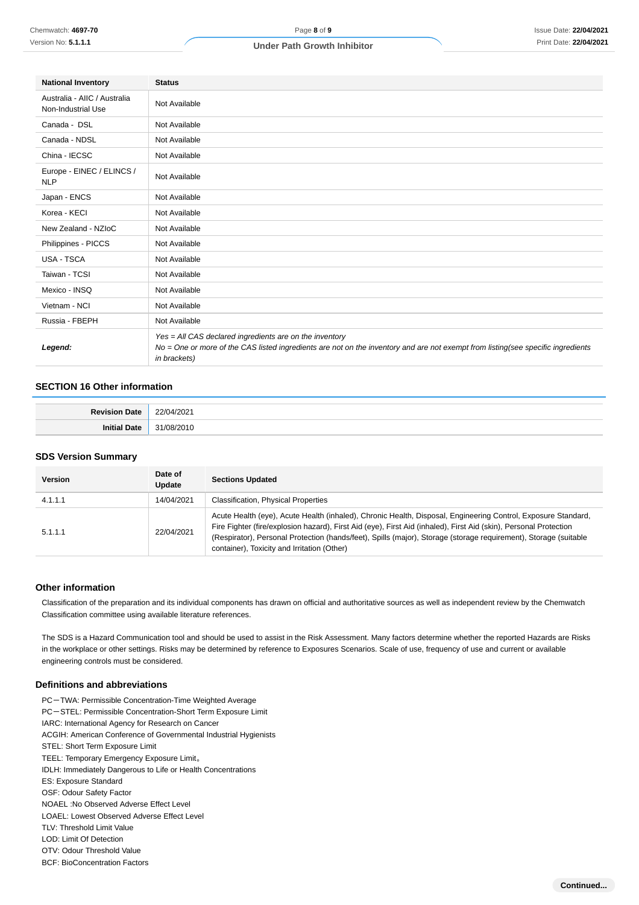| <b>National Inventory</b>                          | <b>Status</b>                                                                                                                                                                                               |  |
|----------------------------------------------------|-------------------------------------------------------------------------------------------------------------------------------------------------------------------------------------------------------------|--|
| Australia - AIIC / Australia<br>Non-Industrial Use | Not Available                                                                                                                                                                                               |  |
| Canada - DSL                                       | Not Available                                                                                                                                                                                               |  |
| Canada - NDSL                                      | Not Available                                                                                                                                                                                               |  |
| China - IECSC                                      | Not Available                                                                                                                                                                                               |  |
| Europe - EINEC / ELINCS /<br><b>NLP</b>            | Not Available                                                                                                                                                                                               |  |
| Japan - ENCS                                       | Not Available                                                                                                                                                                                               |  |
| Korea - KECI                                       | Not Available                                                                                                                                                                                               |  |
| New Zealand - NZIoC                                | Not Available                                                                                                                                                                                               |  |
| Philippines - PICCS                                | Not Available                                                                                                                                                                                               |  |
| <b>USA - TSCA</b>                                  | Not Available                                                                                                                                                                                               |  |
| Taiwan - TCSI                                      | Not Available                                                                                                                                                                                               |  |
| Mexico - INSQ                                      | Not Available                                                                                                                                                                                               |  |
| Vietnam - NCI                                      | Not Available                                                                                                                                                                                               |  |
| Russia - FBEPH                                     | Not Available                                                                                                                                                                                               |  |
| Legend:                                            | Yes = All CAS declared ingredients are on the inventory<br>No = One or more of the CAS listed ingredients are not on the inventory and are not exempt from listing(see specific ingredients<br>in brackets) |  |

# **SECTION 16 Other information**

| __ |
|----|
|    |

#### **SDS Version Summary**

| <b>Version</b> | Date of<br>Update | <b>Sections Updated</b>                                                                                                                                                                                                                                                                                                                                                                               |
|----------------|-------------------|-------------------------------------------------------------------------------------------------------------------------------------------------------------------------------------------------------------------------------------------------------------------------------------------------------------------------------------------------------------------------------------------------------|
| 4.1.1.1        | 14/04/2021        | <b>Classification, Physical Properties</b>                                                                                                                                                                                                                                                                                                                                                            |
| 5.1.1.1        | 22/04/2021        | Acute Health (eye), Acute Health (inhaled), Chronic Health, Disposal, Engineering Control, Exposure Standard,<br>Fire Fighter (fire/explosion hazard), First Aid (eye), First Aid (inhaled), First Aid (skin), Personal Protection<br>(Respirator), Personal Protection (hands/feet), Spills (major), Storage (storage requirement), Storage (suitable<br>container), Toxicity and Irritation (Other) |

#### **Other information**

Classification of the preparation and its individual components has drawn on official and authoritative sources as well as independent review by the Chemwatch Classification committee using available literature references.

The SDS is a Hazard Communication tool and should be used to assist in the Risk Assessment. Many factors determine whether the reported Hazards are Risks in the workplace or other settings. Risks may be determined by reference to Exposures Scenarios. Scale of use, frequency of use and current or available engineering controls must be considered.

#### **Definitions and abbreviations**

PC-TWA: Permissible Concentration-Time Weighted Average PC-STEL: Permissible Concentration-Short Term Exposure Limit IARC: International Agency for Research on Cancer ACGIH: American Conference of Governmental Industrial Hygienists STEL: Short Term Exposure Limit TEEL: Temporary Emergency Exposure Limit。 IDLH: Immediately Dangerous to Life or Health Concentrations ES: Exposure Standard OSF: Odour Safety Factor NOAEL :No Observed Adverse Effect Level LOAEL: Lowest Observed Adverse Effect Level TLV: Threshold Limit Value LOD: Limit Of Detection OTV: Odour Threshold Value BCF: BioConcentration Factors